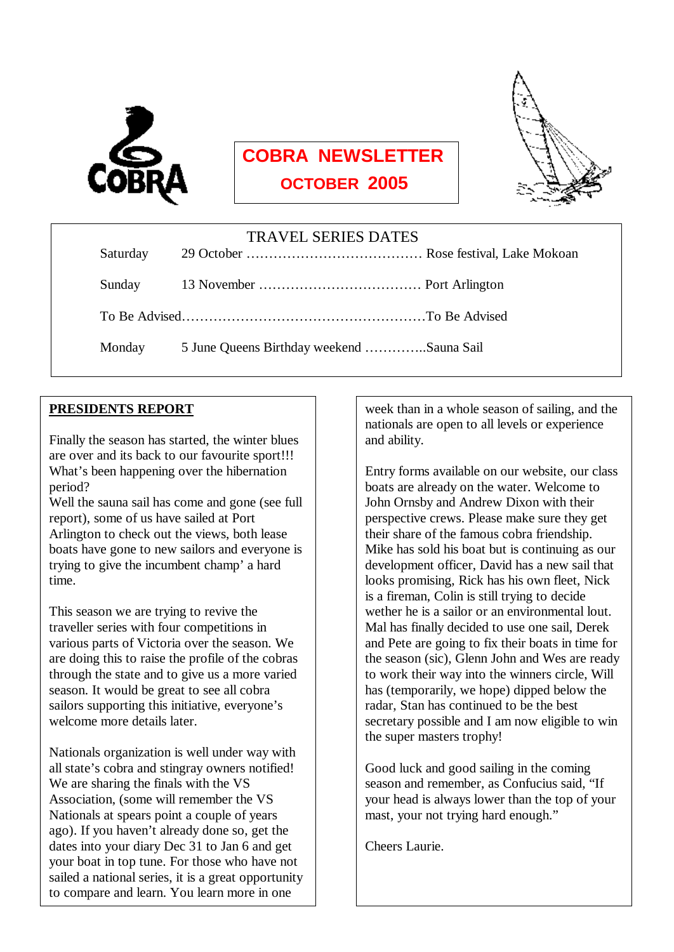

 $\overline{a}$ 

# **COBRA NEWSLETTER**

 **OCTOBER 2005**



| <b>TRAVEL SERIES DATES</b> |          |                                           |  |  |
|----------------------------|----------|-------------------------------------------|--|--|
|                            | Saturday |                                           |  |  |
|                            |          |                                           |  |  |
|                            |          |                                           |  |  |
|                            | Monday   | 5 June Queens Birthday weekend Sauna Sail |  |  |
|                            |          |                                           |  |  |

#### **PRESIDENTS REPORT**

Finally the season has started, the winter blues are over and its back to our favourite sport!!! What's been happening over the hibernation period?

Well the sauna sail has come and gone (see full report), some of us have sailed at Port Arlington to check out the views, both lease boats have gone to new sailors and everyone is trying to give the incumbent champ' a hard time.

This season we are trying to revive the traveller series with four competitions in various parts of Victoria over the season. We are doing this to raise the profile of the cobras through the state and to give us a more varied season. It would be great to see all cobra sailors supporting this initiative, everyone's welcome more details later.

your boat in top tune. For those who have not Nationals organization is well under way with all state's cobra and stingray owners notified! We are sharing the finals with the VS Association, (some will remember the VS Nationals at spears point a couple of years ago). If you haven't already done so, get the dates into your diary Dec 31 to Jan 6 and get sailed a national series, it is a great opportunity to compare and learn. You learn more in one

week than in a whole season of sailing, and the nationals are open to all levels or experience and ability.

Entry forms available on our website, our class boats are already on the water. Welcome to John Ornsby and Andrew Dixon with their perspective crews. Please make sure they get their share of the famous cobra friendship. Mike has sold his boat but is continuing as our development officer, David has a new sail that looks promising, Rick has his own fleet, Nick is a fireman, Colin is still trying to decide wether he is a sailor or an environmental lout. Mal has finally decided to use one sail, Derek and Pete are going to fix their boats in time for the season (sic), Glenn John and Wes are ready to work their way into the winners circle, Will has (temporarily, we hope) dipped below the radar, Stan has continued to be the best secretary possible and I am now eligible to win the super masters trophy!

Good luck and good sailing in the coming season and remember, as Confucius said, "If your head is always lower than the top of your mast, your not trying hard enough."

Cheers Laurie.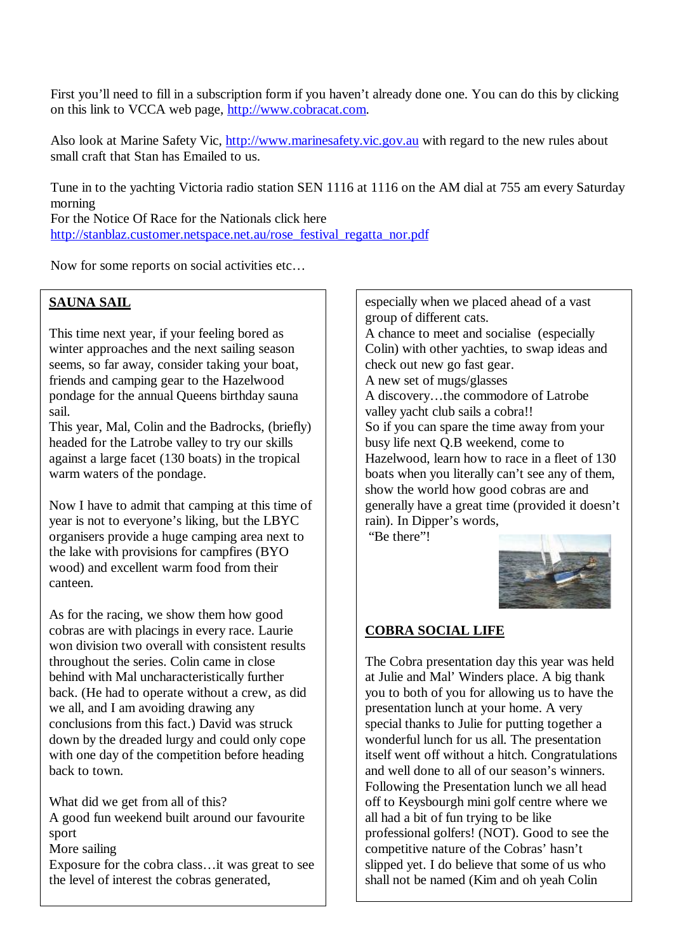First you'll need to fill in a subscription form if you haven't already done one. You can do this by clicking on this link to VCCA web page, <http://www.cobracat.com>.

Also look at Marine Safety Vic,<http://www.marinesafety.vic.gov.au> with regard to the new rules about small craft that Stan has Emailed to us.

Tune in to the yachting Victoria radio station SEN 1116 at 1116 on the AM dial at 755 am every Saturday morning For the Notice Of Race for the Nationals click here

[http://stanblaz.customer.netspace.net.au/rose\\_festival\\_regatta\\_nor.pdf](http://stanblaz.customer.netspace.net.au/rose_festival_regatta_nor.pdf)

Now for some reports on social activities etc…

#### **SAUNA SAIL**

This time next year, if your feeling bored as winter approaches and the next sailing season seems, so far away, consider taking your boat, friends and camping gear to the Hazelwood pondage for the annual Queens birthday sauna sail.

This year, Mal, Colin and the Badrocks, (briefly) headed for the Latrobe valley to try our skills against a large facet (130 boats) in the tropical warm waters of the pondage.

Now I have to admit that camping at this time of year is not to everyone's liking, but the LBYC organisers provide a huge camping area next to the lake with provisions for campfires (BYO wood) and excellent warm food from their canteen.

As for the racing, we show them how good cobras are with placings in every race. Laurie won division two overall with consistent results throughout the series. Colin came in close behind with Mal uncharacteristically further back. (He had to operate without a crew, as did we all, and I am avoiding drawing any conclusions from this fact.) David was struck down by the dreaded lurgy and could only cope with one day of the competition before heading back to town.

What did we get from all of this?

A good fun weekend built around our favourite sport

More sailing

Exposure for the cobra class…it was great to see the level of interest the cobras generated,

especially when we placed ahead of a vast group of different cats. A chance to meet and socialise (especially Colin) with other yachties, to swap ideas and check out new go fast gear. A new set of mugs/glasses A discovery…the commodore of Latrobe valley yacht club sails a cobra!! So if you can spare the time away from your busy life next Q.B weekend, come to Hazelwood, learn how to race in a fleet of 130 boats when you literally can't see any of them, show the world how good cobras are and generally have a great time (provided it doesn't rain). In Dipper's words, "Be there"!



#### **COBRA SOCIAL LIFE**

The Cobra presentation day this year was held at Julie and Mal' Winders place. A big thank you to both of you for allowing us to have the presentation lunch at your home. A very special thanks to Julie for putting together a wonderful lunch for us all. The presentation itself went off without a hitch. Congratulations and well done to all of our season's winners. Following the Presentation lunch we all head off to Keysbourgh mini golf centre where we all had a bit of fun trying to be like professional golfers! (NOT). Good to see the competitive nature of the Cobras' hasn't slipped yet. I do believe that some of us who shall not be named (Kim and oh yeah Colin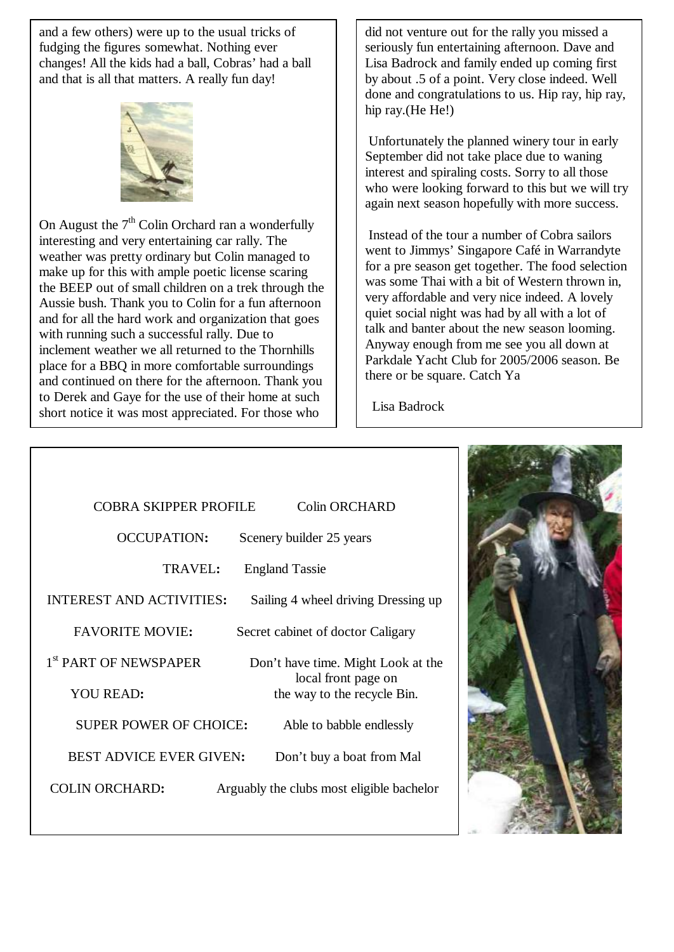and a few others) were up to the usual tricks of fudging the figures somewhat. Nothing ever changes! All the kids had a ball, Cobras' had a ball and that is all that matters. A really fun day!



On August the  $7<sup>th</sup>$  Colin Orchard ran a wonderfully interesting and very entertaining car rally. The weather was pretty ordinary but Colin managed to make up for this with ample poetic license scaring the BEEP out of small children on a trek through the Aussie bush. Thank you to Colin for a fun afternoon and for all the hard work and organization that goes with running such a successful rally. Due to inclement weather we all returned to the Thornhills place for a BBQ in more comfortable surroundings and continued on there for the afternoon. Thank you to Derek and Gaye for the use of their home at such short notice it was most appreciated. For those who

 $\overline{a}$ 

did not venture out for the rally you missed a seriously fun entertaining afternoon. Dave and Lisa Badrock and family ended up coming first by about .5 of a point. Very close indeed. Well done and congratulations to us. Hip ray, hip ray, hip ray.(He He!)

Unfortunately the planned winery tour in early September did not take place due to waning interest and spiraling costs. Sorry to all those who were looking forward to this but we will try again next season hopefully with more success.

Instead of the tour a number of Cobra sailors went to Jimmys' Singapore Café in Warrandyte for a pre season get together. The food selection was some Thai with a bit of Western thrown in, very affordable and very nice indeed. A lovely quiet social night was had by all with a lot of talk and banter about the new season looming. Anyway enough from me see you all down at Parkdale Yacht Club for 2005/2006 season. Be there or be square. Catch Ya

Lisa Badrock

| <b>COBRA SKIPPER PROFILE</b>      | <b>Colin ORCHARD</b>                               |
|-----------------------------------|----------------------------------------------------|
| <b>OCCUPATION:</b>                | Scenery builder 25 years                           |
| TRAVEL:                           | <b>England Tassie</b>                              |
| <b>INTEREST AND ACTIVITIES:</b>   | Sailing 4 wheel driving Dressing up                |
| <b>FAVORITE MOVIE:</b>            | Secret cabinet of doctor Caligary                  |
| 1 <sup>st</sup> PART OF NEWSPAPER | Don't have time. Might Look at the                 |
| <b>YOU READ:</b>                  | local front page on<br>the way to the recycle Bin. |
| <b>SUPER POWER OF CHOICE:</b>     | Able to babble endlessly                           |
| <b>BEST ADVICE EVER GIVEN:</b>    | Don't buy a boat from Mal                          |
| <b>COLIN ORCHARD:</b>             | Arguably the clubs most eligible bachelor          |
|                                   |                                                    |